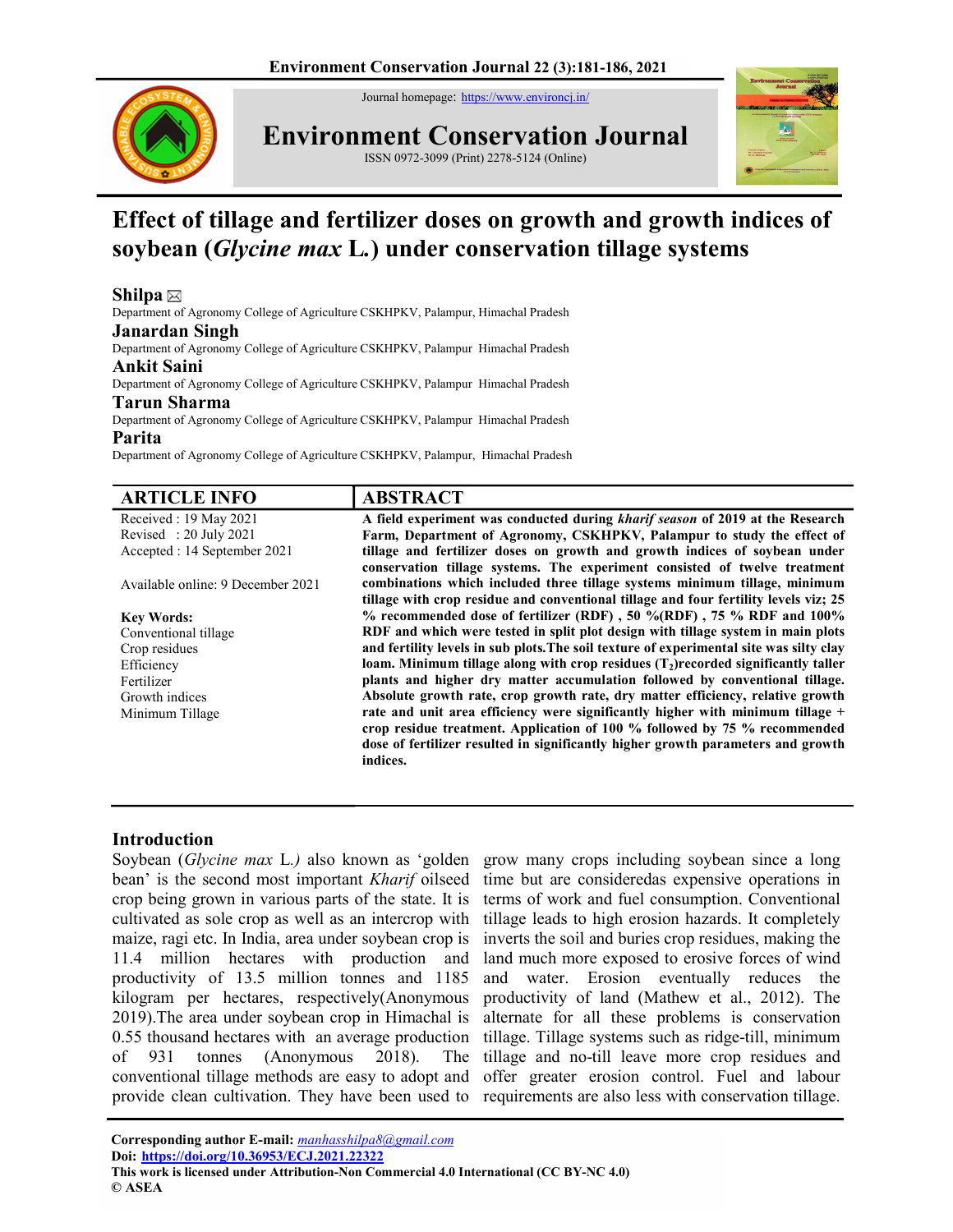Journal homepage: https://www.environcj.in/



Environment Conservation Journal

ISSN 0972-3099 (Print) 2278-5124 (Online)



# Effect of tillage and fertilizer doses on growth and growth indices of soybean (Glycine max L.) under conservation tillage systems

# Shilpa  $\boxtimes$

Department of Agronomy College of Agriculture CSKHPKV, Palampur, Himachal Pradesh

### Janardan Singh

Department of Agronomy College of Agriculture CSKHPKV, Palampur Himachal Pradesh

## Ankit Saini

Department of Agronomy College of Agriculture CSKHPKV, Palampur Himachal Pradesh

## Tarun Sharma

Department of Agronomy College of Agriculture CSKHPKV, Palampur Himachal Pradesh

#### Parita

Department of Agronomy College of Agriculture CSKHPKV, Palampur, Himachal Pradesh

| <b>ARTICLE INFO</b>               | <b>ABSTRACT</b>                                                                         |
|-----------------------------------|-----------------------------------------------------------------------------------------|
| Received: 19 May 2021             | A field experiment was conducted during <i>kharif season</i> of 2019 at the Research    |
| Revised: 20 July 2021             | Farm, Department of Agronomy, CSKHPKV, Palampur to study the effect of                  |
| Accepted : 14 September 2021      | tillage and fertilizer doses on growth and growth indices of soybean under              |
|                                   | conservation tillage systems. The experiment consisted of twelve treatment              |
| Available online: 9 December 2021 | combinations which included three tillage systems minimum tillage, minimum              |
|                                   | tillage with crop residue and conventional tillage and four fertility levels viz; 25    |
| <b>Key Words:</b>                 | $%$ recommended dose of fertilizer (RDF), 50 %(RDF), 75 % RDF and 100%                  |
| Conventional tillage              | RDF and which were tested in split plot design with tillage system in main plots        |
| Crop residues                     | and fertility levels in sub plots. The soil texture of experimental site was silty clay |
| Efficiency                        | loam. Minimum tillage along with crop residues $(T_2)$ recorded significantly taller    |
| Fertilizer                        | plants and higher dry matter accumulation followed by conventional tillage.             |
| Growth indices                    | Absolute growth rate, crop growth rate, dry matter efficiency, relative growth          |
| Minimum Tillage                   | rate and unit area efficiency were significantly higher with minimum tillage $+$        |
|                                   | crop residue treatment. Application of 100 % followed by 75 % recommended               |
|                                   | dose of fertilizer resulted in significantly higher growth parameters and growth        |
|                                   | indices.                                                                                |

## Introduction

bean' is the second most important *Kharif* oilseed crop being grown in various parts of the state. It is cultivated as sole crop as well as an intercrop with maize, ragi etc. In India, area under soybean crop is 11.4 million hectares with production and productivity of 13.5 million tonnes and 1185 kilogram per hectares, respectively(Anonymous 2019).The area under soybean crop in Himachal is 0.55 thousand hectares with an average production of 931 tonnes (Anonymous 2018). The conventional tillage methods are easy to adopt and provide clean cultivation. They have been used to

Soybean (Glycine max L.) also known as 'golden grow many crops including soybean since a long time but are consideredas expensive operations in terms of work and fuel consumption. Conventional tillage leads to high erosion hazards. It completely inverts the soil and buries crop residues, making the land much more exposed to erosive forces of wind and water. Erosion eventually reduces the productivity of land (Mathew et al., 2012). The alternate for all these problems is conservation tillage. Tillage systems such as ridge-till, minimum tillage and no-till leave more crop residues and offer greater erosion control. Fuel and labour requirements are also less with conservation tillage.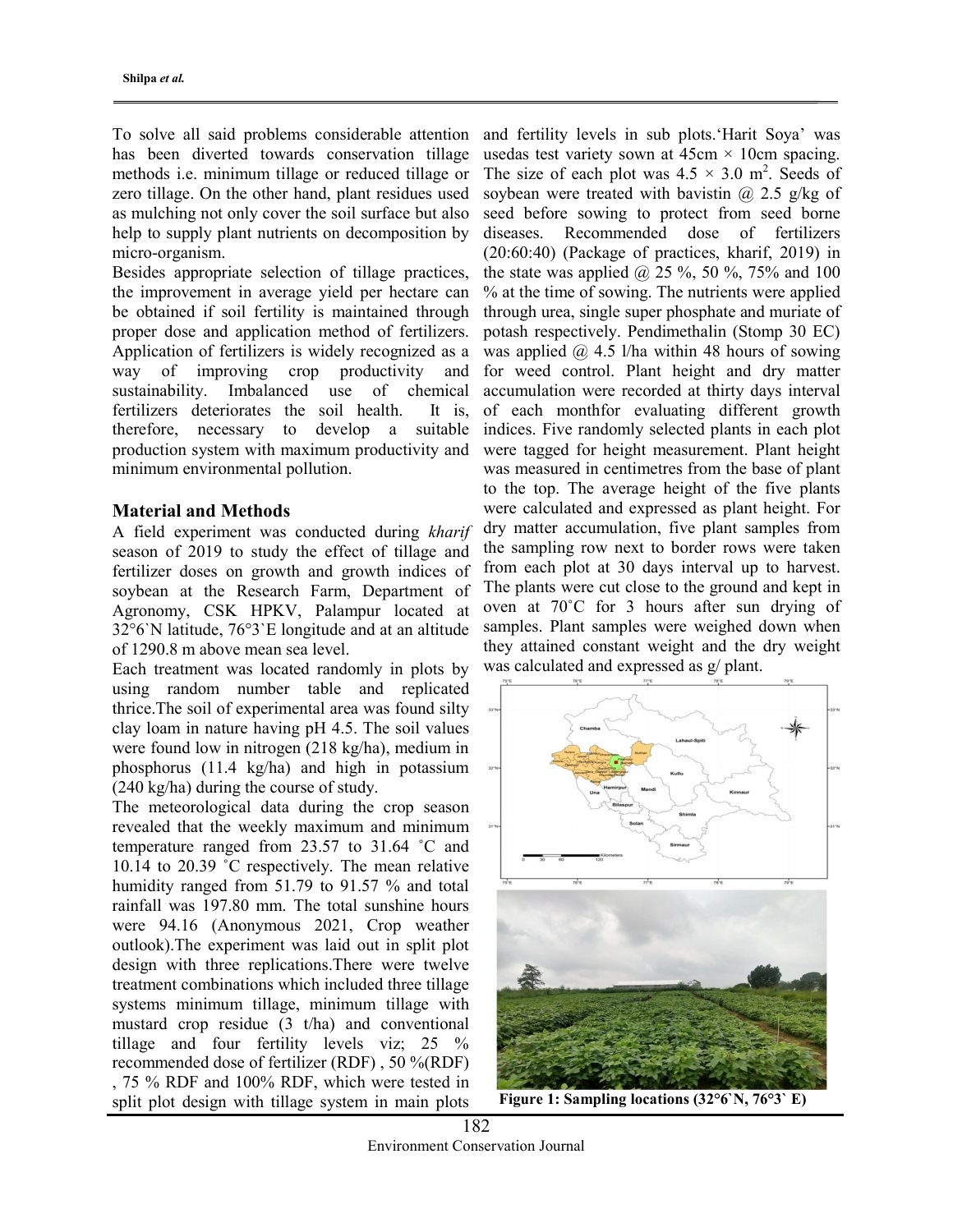To solve all said problems considerable attention has been diverted towards conservation tillage methods i.e. minimum tillage or reduced tillage or zero tillage. On the other hand, plant residues used as mulching not only cover the soil surface but also help to supply plant nutrients on decomposition by micro-organism.

Besides appropriate selection of tillage practices, the improvement in average yield per hectare can be obtained if soil fertility is maintained through proper dose and application method of fertilizers. Application of fertilizers is widely recognized as a way of improving crop productivity and sustainability. Imbalanced use of chemical fertilizers deteriorates the soil health. It is, therefore, necessary to develop a suitable production system with maximum productivity and minimum environmental pollution.

### Material and Methods

A field experiment was conducted during kharif season of 2019 to study the effect of tillage and fertilizer doses on growth and growth indices of soybean at the Research Farm, Department of Agronomy, CSK HPKV, Palampur located at 32°6`N latitude, 76°3`E longitude and at an altitude of 1290.8 m above mean sea level.

Each treatment was located randomly in plots by using random number table and replicated thrice.The soil of experimental area was found silty clay loam in nature having pH 4.5. The soil values were found low in nitrogen (218 kg/ha), medium in phosphorus (11.4 kg/ha) and high in potassium (240 kg/ha) during the course of study.

The meteorological data during the crop season revealed that the weekly maximum and minimum temperature ranged from 23.57 to 31.64 ˚C and 10.14 to 20.39 ˚C respectively. The mean relative humidity ranged from 51.79 to 91.57 % and total rainfall was 197.80 mm. The total sunshine hours were 94.16 (Anonymous 2021, Crop weather outlook).The experiment was laid out in split plot design with three replications.There were twelve treatment combinations which included three tillage systems minimum tillage, minimum tillage with mustard crop residue (3 t/ha) and conventional tillage and four fertility levels viz; 25 % recommended dose of fertilizer (RDF) , 50 %(RDF) , 75 % RDF and 100% RDF, which were tested in split plot design with tillage system in main plots

and fertility levels in sub plots.'Harit Soya' was usedas test variety sown at  $45 \text{cm} \times 10 \text{cm}$  spacing. The size of each plot was  $4.5 \times 3.0$  m<sup>2</sup>. Seeds of soybean were treated with bavistin  $\omega$  2.5 g/kg of seed before sowing to protect from seed borne diseases. Recommended dose of fertilizers (20:60:40) (Package of practices, kharif, 2019) in the state was applied  $(2, 25\%, 50\%, 75\%$  and 100 % at the time of sowing. The nutrients were applied through urea, single super phosphate and muriate of potash respectively. Pendimethalin (Stomp 30 EC) was applied  $\omega$  4.5 l/ha within 48 hours of sowing for weed control. Plant height and dry matter accumulation were recorded at thirty days interval of each monthfor evaluating different growth indices. Five randomly selected plants in each plot were tagged for height measurement. Plant height was measured in centimetres from the base of plant to the top. The average height of the five plants were calculated and expressed as plant height. For dry matter accumulation, five plant samples from the sampling row next to border rows were taken from each plot at 30 days interval up to harvest. The plants were cut close to the ground and kept in oven at 70˚C for 3 hours after sun drying of samples. Plant samples were weighed down when they attained constant weight and the dry weight was calculated and expressed as g/ plant.



Figure 1: Sampling locations (32°6`N, 76°3` E)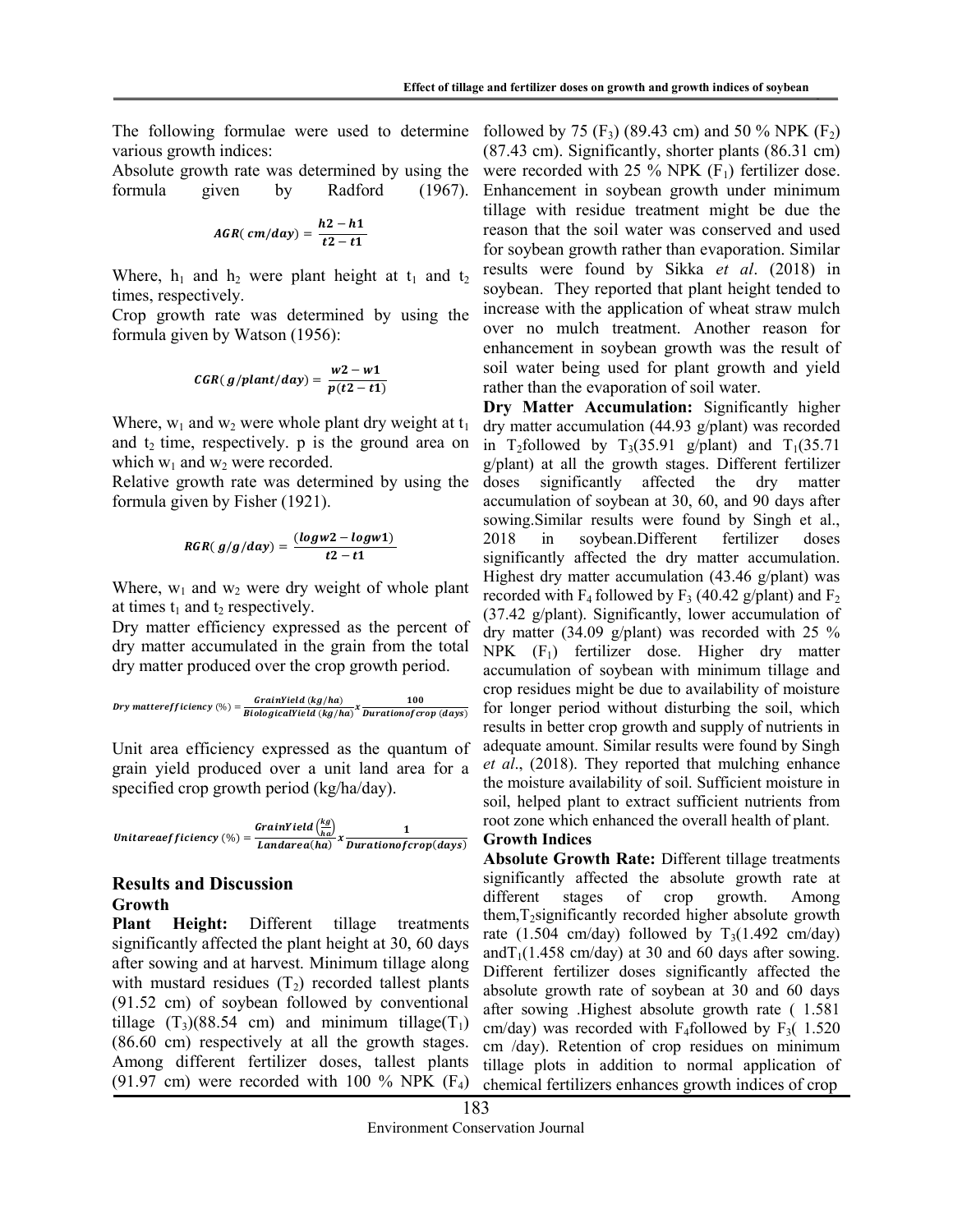various growth indices:

Absolute growth rate was determined by using the formula given by Radford (1967).

$$
AGR(\,cm/day) = \frac{h2 - h1}{t2 - t1}
$$

Where,  $h_1$  and  $h_2$  were plant height at  $t_1$  and  $t_2$ times, respectively.

Crop growth rate was determined by using the formula given by Watson (1956):

$$
CGR(\,g/plant/day) = \frac{w2 - w1}{p(t2 - t1)}
$$

Where,  $w_1$  and  $w_2$  were whole plant dry weight at  $t_1$ and  $t_2$  time, respectively. p is the ground area on which  $w_1$  and  $w_2$  were recorded.

Relative growth rate was determined by using the formula given by Fisher (1921).

$$
RGR(g/g/day) = \frac{(logw2 - logw1)}{t2 - t1}
$$

Where,  $w_1$  and  $w_2$  were dry weight of whole plant at times  $t_1$  and  $t_2$  respectively.

Dry matter efficiency expressed as the percent of dry matter accumulated in the grain from the total dry matter produced over the crop growth period.

$$
Dry\ matter efficiency \, (\%) = \frac{GrainYield\ (kg/ha)}{BiologicalYield\ (kg/ha)} x \frac{100}{Duration of crop\ (days)}
$$

Unit area efficiency expressed as the quantum of grain yield produced over a unit land area for a specified crop growth period (kg/ha/day).

Unitareaefficiency  $\left(\% \right) = \frac{GrainYield\left(\frac{kg}{ha}\right)}{Lardase(hc)}$  $\frac{fracY}{(ha)}$ <br>Landarea(ha)  $x$   $\frac{1}{Durationof}$ Durationof crop(days)

## Results and Discussion Growth

Plant Height: Different tillage treatments significantly affected the plant height at 30, 60 days after sowing and at harvest. Minimum tillage along with mustard residues  $(T_2)$  recorded tallest plants (91.52 cm) of soybean followed by conventional tillage  $(T_3)(88.54 \text{ cm})$  and minimum tillage $(T_1)$ (86.60 cm) respectively at all the growth stages. Among different fertilizer doses, tallest plants (91.97 cm) were recorded with 100 % NPK  $(F_4)$ 

The following formulae were used to determine followed by 75  $(F_3)$  (89.43 cm) and 50 % NPK  $(F_2)$ (87.43 cm). Significantly, shorter plants (86.31 cm) were recorded with 25 % NPK  $(F_1)$  fertilizer dose. Enhancement in soybean growth under minimum tillage with residue treatment might be due the reason that the soil water was conserved and used for soybean growth rather than evaporation. Similar results were found by Sikka et al. (2018) in soybean. They reported that plant height tended to increase with the application of wheat straw mulch over no mulch treatment. Another reason for enhancement in soybean growth was the result of soil water being used for plant growth and yield rather than the evaporation of soil water.

> Dry Matter Accumulation: Significantly higher dry matter accumulation (44.93 g/plant) was recorded in T<sub>2</sub>followed by T<sub>3</sub>(35.91 g/plant) and T<sub>1</sub>(35.71) g/plant) at all the growth stages. Different fertilizer doses significantly affected the dry matter accumulation of soybean at 30, 60, and 90 days after sowing.Similar results were found by Singh et al., 2018 in soybean.Different fertilizer doses significantly affected the dry matter accumulation. Highest dry matter accumulation (43.46 g/plant) was recorded with  $F_4$  followed by  $F_3$  (40.42 g/plant) and  $F_2$ (37.42 g/plant). Significantly, lower accumulation of dry matter (34.09 g/plant) was recorded with 25 %  $NPK$  (F<sub>1</sub>) fertilizer dose. Higher dry matter accumulation of soybean with minimum tillage and crop residues might be due to availability of moisture for longer period without disturbing the soil, which results in better crop growth and supply of nutrients in adequate amount. Similar results were found by Singh et al., (2018). They reported that mulching enhance the moisture availability of soil. Sufficient moisture in soil, helped plant to extract sufficient nutrients from root zone which enhanced the overall health of plant.

## Growth Indices

Absolute Growth Rate: Different tillage treatments significantly affected the absolute growth rate at different stages of crop growth. Among them,T2significantly recorded higher absolute growth rate (1.504 cm/day) followed by  $T_3(1.492 \text{ cm/day})$ and  $T_1(1.458 \text{ cm/day})$  at 30 and 60 days after sowing. Different fertilizer doses significantly affected the absolute growth rate of soybean at 30 and 60 days after sowing .Highest absolute growth rate ( 1.581 cm/day) was recorded with F<sub>4</sub>followed by F<sub>3</sub> $(1.520)$ cm /day). Retention of crop residues on minimum tillage plots in addition to normal application of chemical fertilizers enhances growth indices of crop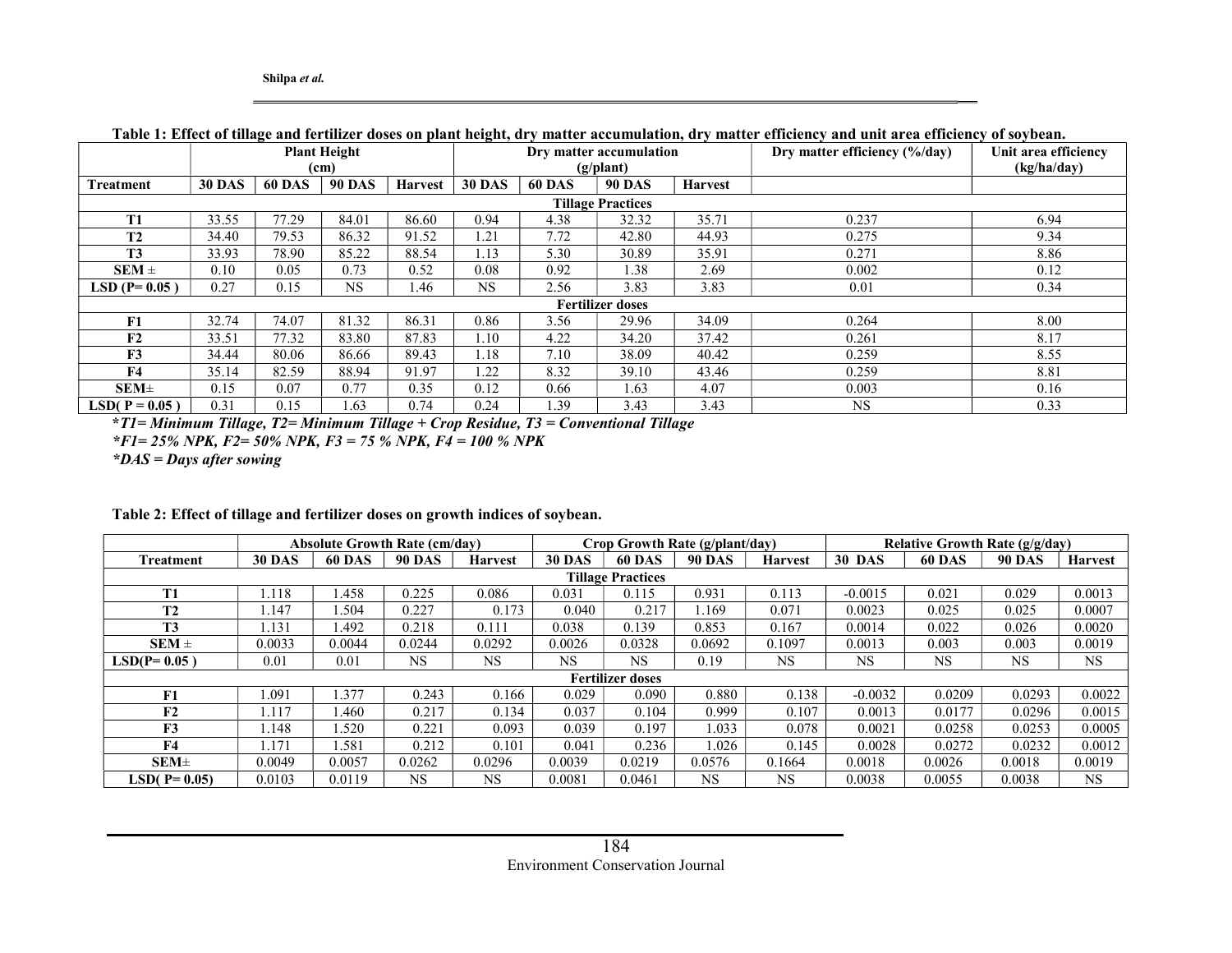|                          | -<br><b>Plant Height</b> |               |                   |                | $\sim$<br>Dry matter accumulation |               |                         |                | Dry matter efficiency (%/day) | Unit area efficiency |  |
|--------------------------|--------------------------|---------------|-------------------|----------------|-----------------------------------|---------------|-------------------------|----------------|-------------------------------|----------------------|--|
|                          |                          |               | (c <sub>m</sub> ) |                | (g/plant)                         |               |                         |                |                               | (kg/ha/day)          |  |
| <b>Treatment</b>         | <b>30 DAS</b>            | <b>60 DAS</b> | <b>90 DAS</b>     | <b>Harvest</b> | <b>30 DAS</b>                     | <b>60 DAS</b> | <b>90 DAS</b>           | <b>Harvest</b> |                               |                      |  |
| <b>Tillage Practices</b> |                          |               |                   |                |                                   |               |                         |                |                               |                      |  |
| <b>T1</b>                | 33.55                    | 77.29         | 84.01             | 86.60          | 0.94                              | 4.38          | 32.32                   | 35.71          | 0.237                         | 6.94                 |  |
| T2                       | 34.40                    | 79.53         | 86.32             | 91.52          | 1.21                              | 7.72          | 42.80                   | 44.93          | 0.275                         | 9.34                 |  |
| <b>T3</b>                | 33.93                    | 78.90         | 85.22             | 88.54          | 1.13                              | 5.30          | 30.89                   | 35.91          | 0.271                         | 8.86                 |  |
| $SEM \pm$                | 0.10                     | 0.05          | 0.73              | 0.52           | 0.08                              | 0.92          | 1.38                    | 2.69           | 0.002                         | 0.12                 |  |
| LSD $(P=0.05)$           | 0.27                     | 0.15          | <b>NS</b>         | 1.46           | <b>NS</b>                         | 2.56          | 3.83                    | 3.83           | 0.01                          | 0.34                 |  |
|                          |                          |               |                   |                |                                   |               | <b>Fertilizer doses</b> |                |                               |                      |  |
| F1                       | 32.74                    | 74.07         | 81.32             | 86.31          | 0.86                              | 3.56          | 29.96                   | 34.09          | 0.264                         | 8.00                 |  |
| F2                       | 33.51                    | 77.32         | 83.80             | 87.83          | 1.10                              | 4.22          | 34.20                   | 37.42          | 0.261                         | 8.17                 |  |
| F3                       | 34.44                    | 80.06         | 86.66             | 89.43          | 1.18                              | 7.10          | 38.09                   | 40.42          | 0.259                         | 8.55                 |  |
| F4                       | 35.14                    | 82.59         | 88.94             | 91.97          | 1.22                              | 8.32          | 39.10                   | 43.46          | 0.259                         | 8.81                 |  |
| SEM <sub>±</sub>         | 0.15                     | 0.07          | 0.77              | 0.35           | 0.12                              | 0.66          | 1.63                    | 4.07           | 0.003                         | 0.16                 |  |
| <b>LSD( P = 0.05)</b>    | 0.31                     | 0.15          | 1.63              | 0.74           | 0.24                              | 1.39          | 3.43                    | 3.43           | <b>NS</b>                     | 0.33                 |  |

#### Table 1: Effect of tillage and fertilizer doses on plant height, dry matter accumulation, dry matter efficiency and unit area efficiency of soybean.

\*T1= Minimum Tillage, T2= Minimum Tillage + Crop Residue, T3 = Conventional Tillage  $*F1 = 25\%$  NPK,  $F2 = 50\%$  NPK,  $F3 = 75\%$  NPK,  $F4 = 100\%$  NPK  $*DAS =$  Days after sowing

|                          | <b>Absolute Growth Rate (cm/day)</b> |               |               |                | Crop Growth Rate (g/plant/day) |                         |               |                | <b>Relative Growth Rate (g/g/day)</b> |               |               |                |
|--------------------------|--------------------------------------|---------------|---------------|----------------|--------------------------------|-------------------------|---------------|----------------|---------------------------------------|---------------|---------------|----------------|
| Treatment                | <b>30 DAS</b>                        | <b>60 DAS</b> | <b>90 DAS</b> | <b>Harvest</b> | <b>30 DAS</b>                  | <b>60 DAS</b>           | <b>90 DAS</b> | <b>Harvest</b> | <b>30 DAS</b>                         | <b>60 DAS</b> | <b>90 DAS</b> | <b>Harvest</b> |
| <b>Tillage Practices</b> |                                      |               |               |                |                                |                         |               |                |                                       |               |               |                |
| <b>T1</b>                | l.118                                | l.458         | 0.225         | 0.086          | 0.031                          | 0.115                   | 0.931         | 0.113          | $-0.0015$                             | 0.021         | 0.029         | 0.0013         |
| T2                       | .147                                 | .504          | 0.227         | 0.173          | 0.040                          | 0.217                   | .169          | 0.071          | 0.0023                                | 0.025         | 0.025         | 0.0007         |
| <b>T3</b>                | l.131                                | .492          | 0.218         | 0.111          | 0.038                          | 0.139                   | 0.853         | 0.167          | 0.0014                                | 0.022         | 0.026         | 0.0020         |
| $SEM \pm$                | 0.0033                               | 0.0044        | 0.0244        | 0.0292         | 0.0026                         | 0.0328                  | 0.0692        | 0.1097         | 0.0013                                | 0.003         | 0.003         | 0.0019         |
| $LSD(P=0.05)$            | 0.01                                 | 0.01          | NS            | NS             | NS                             | <b>NS</b>               | 0.19          | <b>NS</b>      | <b>NS</b>                             | <b>NS</b>     | <b>NS</b>     | <b>NS</b>      |
|                          |                                      |               |               |                |                                | <b>Fertilizer doses</b> |               |                |                                       |               |               |                |
| F1                       | .091                                 | .377          | 0.243         | 0.166          | 0.029                          | 0.090                   | 0.880         | 0.138          | $-0.0032$                             | 0.0209        | 0.0293        | 0.0022         |
| F2                       | .117                                 | .460          | 0.217         | 0.134          | 0.037                          | 0.104                   | 0.999         | 0.107          | 0.0013                                | 0.0177        | 0.0296        | 0.0015         |
| F3                       | .148                                 | 1.520         | 0.221         | 0.093          | 0.039                          | 0.197                   | 1.033         | 0.078          | 0.0021                                | 0.0258        | 0.0253        | 0.0005         |
| F <sub>4</sub>           | .171                                 | l.581         | 0.212         | 0.101          | 0.041                          | 0.236                   | 1.026         | 0.145          | 0.0028                                | 0.0272        | 0.0232        | 0.0012         |
| $SEM\pm$                 | 0.0049                               | 0.0057        | 0.0262        | 0.0296         | 0.0039                         | 0.0219                  | 0.0576        | 0.1664         | 0.0018                                | 0.0026        | 0.0018        | 0.0019         |
| $LSD(P=0.05)$            | 0.0103                               | 0.0119        | NS            | NS             | 0.0081                         | 0.0461                  | NS.           | <b>NS</b>      | 0.0038                                | 0.0055        | 0.0038        | <b>NS</b>      |

#### Table 2: Effect of tillage and fertilizer doses on growth indices of soybean.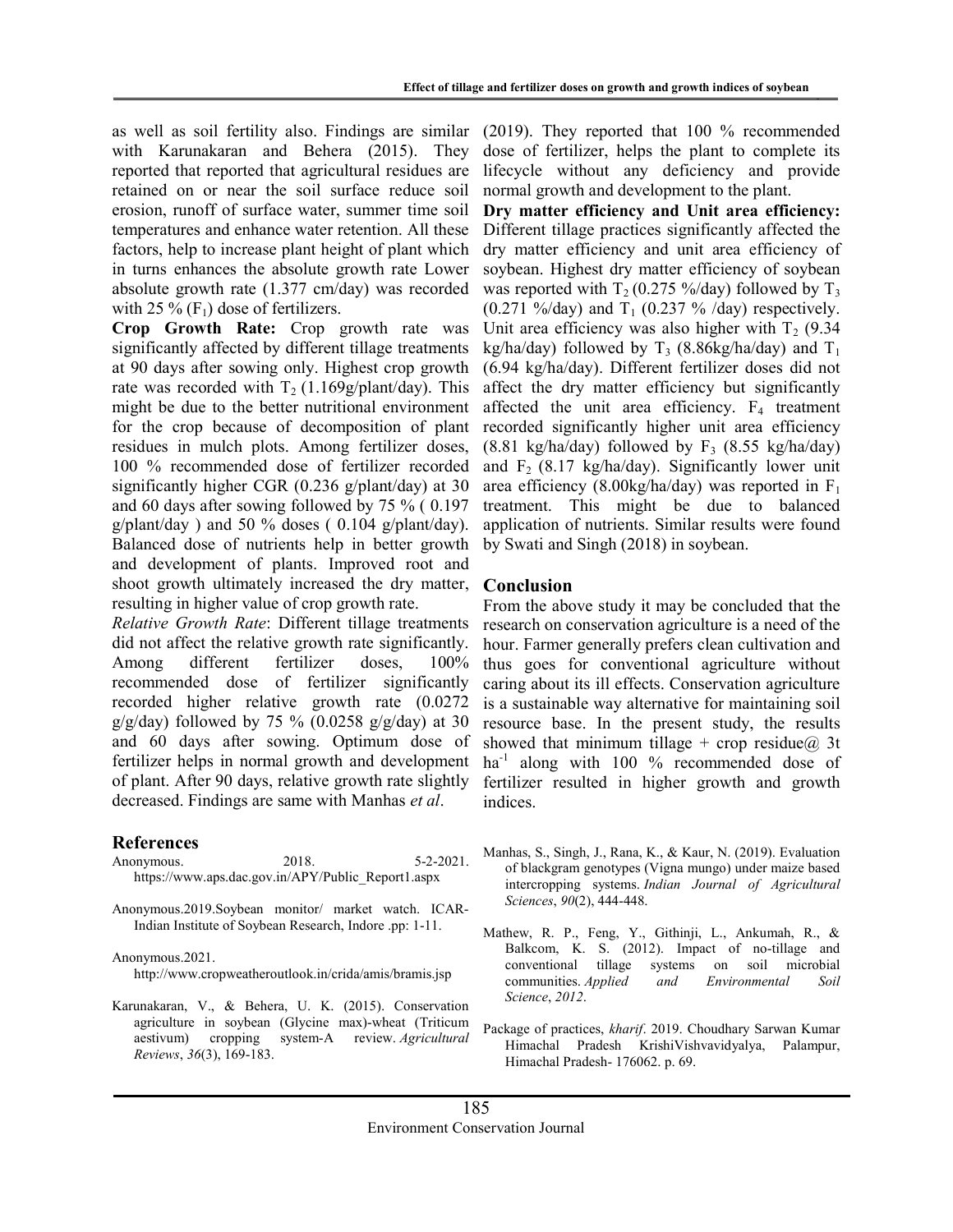as well as soil fertility also. Findings are similar with Karunakaran and Behera (2015). They reported that reported that agricultural residues are retained on or near the soil surface reduce soil erosion, runoff of surface water, summer time soil temperatures and enhance water retention. All these factors, help to increase plant height of plant which in turns enhances the absolute growth rate Lower absolute growth rate (1.377 cm/day) was recorded with 25 %  $(F_1)$  dose of fertilizers.

Crop Growth Rate: Crop growth rate was significantly affected by different tillage treatments at 90 days after sowing only. Highest crop growth rate was recorded with  $T_2$  (1.169g/plant/day). This might be due to the better nutritional environment for the crop because of decomposition of plant residues in mulch plots. Among fertilizer doses, 100 % recommended dose of fertilizer recorded significantly higher CGR (0.236 g/plant/day) at 30 and 60 days after sowing followed by 75 % ( 0.197  $g$ /plant/day ) and 50 % doses (0.104  $g$ /plant/day). Balanced dose of nutrients help in better growth and development of plants. Improved root and shoot growth ultimately increased the dry matter, resulting in higher value of crop growth rate.

Relative Growth Rate: Different tillage treatments did not affect the relative growth rate significantly. Among different fertilizer doses, 100% recommended dose of fertilizer significantly recorded higher relative growth rate (0.0272  $g/g/day$ ) followed by 75 % (0.0258  $g/g/day$ ) at 30 and 60 days after sowing. Optimum dose of fertilizer helps in normal growth and development of plant. After 90 days, relative growth rate slightly decreased. Findings are same with Manhas et al.

#### References

| Anonymous. | 2018.                                              | $5 - 2 - 2021$ . |
|------------|----------------------------------------------------|------------------|
|            | https://www.aps.dac.gov.in/APY/Public Report1.aspx |                  |

Anonymous.2019.Soybean monitor/ market watch. ICAR-Indian Institute of Soybean Research, Indore .pp: 1-11.

Anonymous.2021.

http://www.cropweatheroutlook.in/crida/amis/bramis.jsp

Karunakaran, V., & Behera, U. K. (2015). Conservation agriculture in soybean (Glycine max)-wheat (Triticum aestivum) cropping system-A review. Agricultural Reviews, 36(3), 169-183.

(2019). They reported that 100 % recommended dose of fertilizer, helps the plant to complete its lifecycle without any deficiency and provide normal growth and development to the plant.

Dry matter efficiency and Unit area efficiency: Different tillage practices significantly affected the dry matter efficiency and unit area efficiency of soybean. Highest dry matter efficiency of soybean was reported with  $T_2$  (0.275 %/day) followed by  $T_3$  $(0.271 \text{ %/day})$  and T<sub>1</sub>  $(0.237 \text{ %/day})$  respectively. Unit area efficiency was also higher with  $T_2$  (9.34) kg/ha/day) followed by  $T_3$  (8.86kg/ha/day) and  $T_1$ (6.94 kg/ha/day). Different fertilizer doses did not affect the dry matter efficiency but significantly affected the unit area efficiency.  $F_4$  treatment recorded significantly higher unit area efficiency  $(8.81 \text{ kg/ha/day})$  followed by F<sub>3</sub>  $(8.55 \text{ kg/ha/day})$ and  $F_2$  (8.17 kg/ha/day). Significantly lower unit area efficiency (8.00kg/ha/day) was reported in  $F_1$ treatment. This might be due to balanced application of nutrients. Similar results were found by Swati and Singh (2018) in soybean.

#### Conclusion

From the above study it may be concluded that the research on conservation agriculture is a need of the hour. Farmer generally prefers clean cultivation and thus goes for conventional agriculture without caring about its ill effects. Conservation agriculture is a sustainable way alternative for maintaining soil resource base. In the present study, the results showed that minimum tillage + crop residue@ 3t ha<sup>-1</sup> along with 100 % recommended dose of fertilizer resulted in higher growth and growth indices.

- Manhas, S., Singh, J., Rana, K., & Kaur, N. (2019). Evaluation of blackgram genotypes (Vigna mungo) under maize based intercropping systems. Indian Journal of Agricultural Sciences, 90(2), 444-448.
- Mathew, R. P., Feng, Y., Githinji, L., Ankumah, R., & Balkcom, K. S. (2012). Impact of no-tillage and conventional tillage systems on soil microbial communities. Applied and Environmental Soil Science, 2012.
- Package of practices, kharif. 2019. Choudhary Sarwan Kumar Himachal Pradesh KrishiVishvavidyalya, Palampur, Himachal Pradesh- 176062. p. 69.